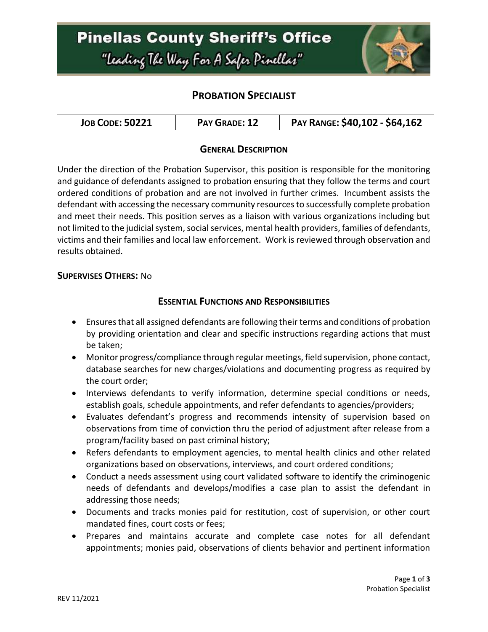

# **PROBATION SPECIALIST**

| <b>JOB CODE: 50221</b> | PAY GRADE: 12 | PAY RANGE: \$40,102 - \$64,162 |
|------------------------|---------------|--------------------------------|
|------------------------|---------------|--------------------------------|

### **GENERAL DESCRIPTION**

Under the direction of the Probation Supervisor, this position is responsible for the monitoring and guidance of defendants assigned to probation ensuring that they follow the terms and court ordered conditions of probation and are not involved in further crimes. Incumbent assists the defendant with accessing the necessary community resources to successfully complete probation and meet their needs. This position serves as a liaison with various organizations including but not limited to the judicial system, social services, mental health providers, families of defendants, victims and their families and local law enforcement. Work is reviewed through observation and results obtained.

#### **SUPERVISES OTHERS:** No

#### **ESSENTIAL FUNCTIONS AND RESPONSIBILITIES**

- Ensures that all assigned defendants are following their terms and conditions of probation by providing orientation and clear and specific instructions regarding actions that must be taken;
- Monitor progress/compliance through regular meetings, field supervision, phone contact, database searches for new charges/violations and documenting progress as required by the court order;
- Interviews defendants to verify information, determine special conditions or needs, establish goals, schedule appointments, and refer defendants to agencies/providers;
- Evaluates defendant's progress and recommends intensity of supervision based on observations from time of conviction thru the period of adjustment after release from a program/facility based on past criminal history;
- Refers defendants to employment agencies, to mental health clinics and other related organizations based on observations, interviews, and court ordered conditions;
- Conduct a needs assessment using court validated software to identify the criminogenic needs of defendants and develops/modifies a case plan to assist the defendant in addressing those needs;
- Documents and tracks monies paid for restitution, cost of supervision, or other court mandated fines, court costs or fees;
- Prepares and maintains accurate and complete case notes for all defendant appointments; monies paid, observations of clients behavior and pertinent information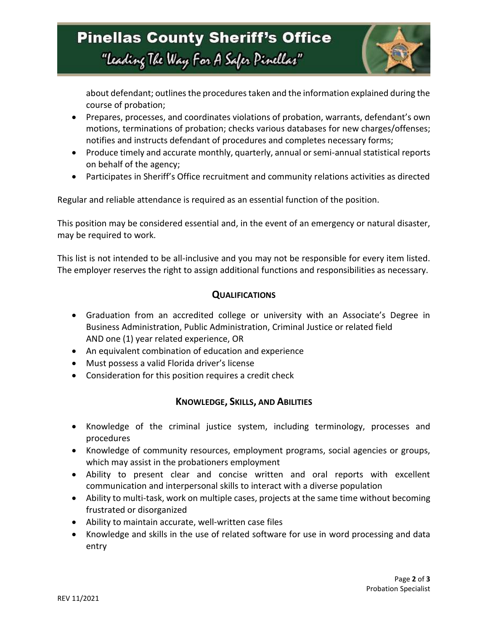

about defendant; outlines the procedures taken and the information explained during the course of probation;

- Prepares, processes, and coordinates violations of probation, warrants, defendant's own motions, terminations of probation; checks various databases for new charges/offenses; notifies and instructs defendant of procedures and completes necessary forms;
- Produce timely and accurate monthly, quarterly, annual or semi-annual statistical reports on behalf of the agency;
- Participates in Sheriff's Office recruitment and community relations activities as directed

Regular and reliable attendance is required as an essential function of the position.

This position may be considered essential and, in the event of an emergency or natural disaster, may be required to work.

This list is not intended to be all-inclusive and you may not be responsible for every item listed. The employer reserves the right to assign additional functions and responsibilities as necessary.

#### **QUALIFICATIONS**

- Graduation from an accredited college or university with an Associate's Degree in Business Administration, Public Administration, Criminal Justice or related field AND one (1) year related experience, OR
- An equivalent combination of education and experience
- Must possess a valid Florida driver's license
- Consideration for this position requires a credit check

#### **KNOWLEDGE, SKILLS, AND ABILITIES**

- Knowledge of the criminal justice system, including terminology, processes and procedures
- Knowledge of community resources, employment programs, social agencies or groups, which may assist in the probationers employment
- Ability to present clear and concise written and oral reports with excellent communication and interpersonal skills to interact with a diverse population
- Ability to multi-task, work on multiple cases, projects at the same time without becoming frustrated or disorganized
- Ability to maintain accurate, well-written case files
- Knowledge and skills in the use of related software for use in word processing and data entry